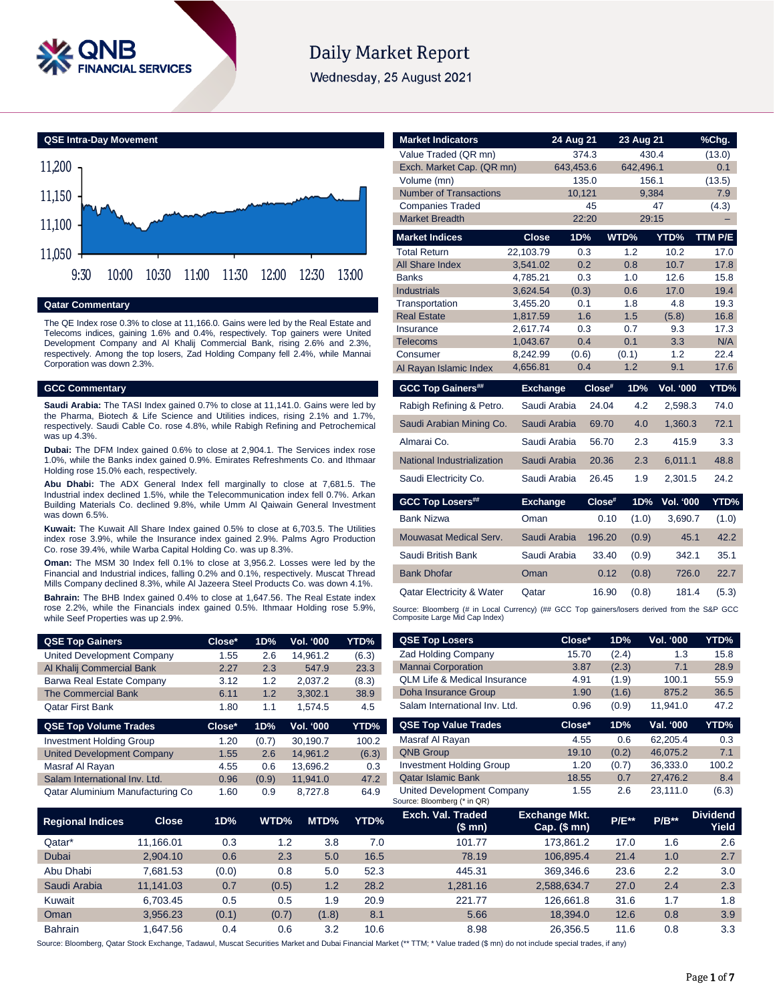

# **Daily Market Report**

Wednesday, 25 August 2021



## **Qatar Commentary**

The QE Index rose 0.3% to close at 11,166.0. Gains were led by the Real Estate and Telecoms indices, gaining 1.6% and 0.4%, respectively. Top gainers were United Development Company and Al Khalij Commercial Bank, rising 2.6% and 2.3%, respectively. Among the top losers, Zad Holding Company fell 2.4%, while Mannai Corporation was down 2.3%.

# **GCC Commentary**

**Saudi Arabia:** The TASI Index gained 0.7% to close at 11,141.0. Gains were led by the Pharma, Biotech & Life Science and Utilities indices, rising 2.1% and 1.7%, respectively. Saudi Cable Co. rose 4.8%, while Rabigh Refining and Petrochemical was up 4.3%.

**Dubai:** The DFM Index gained 0.6% to close at 2,904.1. The Services index rose 1.0%, while the Banks index gained 0.9%. Emirates Refreshments Co. and Ithmaar Holding rose 15.0% each, respectively.

**Abu Dhabi:** The ADX General Index fell marginally to close at 7,681.5. The Industrial index declined 1.5%, while the Telecommunication index fell 0.7%. Arkan Building Materials Co. declined 9.8%, while Umm Al Qaiwain General Investment was down 6.5%.

**Kuwait:** The Kuwait All Share Index gained 0.5% to close at 6,703.5. The Utilities index rose 3.9%, while the Insurance index gained 2.9%. Palms Agro Production Co. rose 39.4%, while Warba Capital Holding Co. was up 8.3%.

**Oman:** The MSM 30 Index fell 0.1% to close at 3,956.2. Losses were led by the Financial and Industrial indices, falling 0.2% and 0.1%, respectively. Muscat Thread Mills Company declined 8.3%, while Al Jazeera Steel Products Co. was down 4.1%.

**Bahrain:** The BHB Index gained 0.4% to close at 1,647.56. The Real Estate index rose 2.2%, while the Financials index gained 0.5%. Ithmaar Holding rose 5.9%, while Seef Properties was up 2.9%.

| <b>QSE Top Gainers</b>          | Close* | 1D%   | Vol. '000        | YTD%  |
|---------------------------------|--------|-------|------------------|-------|
| United Development Company      | 1.55   | 2.6   | 14.961.2         | (6.3) |
| Al Khalij Commercial Bank       | 2.27   | 2.3   | 547.9            | 23.3  |
| Barwa Real Estate Company       | 3.12   | 1.2   | 2.037.2          | (8.3) |
| <b>The Commercial Bank</b>      | 6.11   | 1.2   | 3.302.1          | 38.9  |
| <b>Qatar First Bank</b>         | 1.80   | 1.1   | 1.574.5          | 4.5   |
| <b>QSE Top Volume Trades</b>    | Close* | 1D%   | <b>Vol. '000</b> | YTD%  |
| <b>Investment Holding Group</b> | 1.20   | (0.7) | 30.190.7         | 100.2 |

| <b>Investment Holding Group</b>   | 1.20 | (0, 7) | 30.190.7 | 100.2 |
|-----------------------------------|------|--------|----------|-------|
| <b>United Development Company</b> | 1.55 | 2.6    | 14.961.2 | (6.3) |
| Masraf Al Rayan                   | 4.55 | 0.6    | 13.696.2 | 0.3   |
| Salam International Inv. Ltd.     | 0.96 | (0.9)  | 11.941.0 | 47.2  |
| Qatar Aluminium Manufacturing Co  | 1.60 | 0.9    | 8.727.8  | 64.9  |

| <b>Market Indicators</b>                                                                    |                      | 24 Aug 21  |        | 23 Aug 21  |                  | %Chg.       |
|---------------------------------------------------------------------------------------------|----------------------|------------|--------|------------|------------------|-------------|
| Value Traded (QR mn)                                                                        |                      | 374.3      |        | 430.4      |                  | (13.0)      |
| Exch. Market Cap. (QR mn)                                                                   |                      | 643,453.6  |        | 642,496.1  |                  | 0.1         |
| Volume (mn)                                                                                 |                      | 135.0      |        | 156.1      |                  | (13.5)      |
| <b>Number of Transactions</b>                                                               |                      | 10,121     |        | 9,384      |                  | 7.9         |
| <b>Companies Traded</b>                                                                     |                      |            | 45     |            | 47               | (4.3)       |
| <b>Market Breadth</b>                                                                       |                      | 22:20      |        | 29:15      |                  | -           |
| <b>Market Indices</b>                                                                       | <b>Close</b>         | 1D%        |        | WTD%       | YTD%             | TTM P/E     |
| <b>Total Return</b>                                                                         | 22,103.79            | 0.3        |        | 1.2        | 10.2             | 17.0        |
| All Share Index                                                                             | 3,541.02             | 0.2        |        | 0.8        | 10.7             | 17.8        |
| <b>Banks</b>                                                                                | 4.785.21             | 0.3        |        | 1.0        | 12.6             | 15.8        |
| <b>Industrials</b>                                                                          | 3,624.54             | (0.3)      |        | 0.6        | 17.0             | 19.4        |
| Transportation                                                                              | 3,455.20             | 0.1        |        | 1.8        | 4.8              | 19.3        |
| <b>Real Estate</b>                                                                          | 1,817.59             | 1.6        |        | 1.5        | (5.8)            | 16.8        |
| Insurance<br>Telecoms                                                                       | 2.617.74<br>1,043.67 | 0.3<br>0.4 |        | 0.7<br>0.1 | 9.3<br>3.3       | 17.3<br>N/A |
| Consumer                                                                                    | 8,242.99             | (0.6)      |        | (0.1)      | 1.2              | 22.4        |
| Al Rayan Islamic Index                                                                      | 4,656.81             | 0.4        |        | 1.2        | 9.1              | 17.6        |
|                                                                                             |                      |            |        |            |                  |             |
| <b>GCC Top Gainers##</b>                                                                    | <b>Exchange</b>      |            | Close# | 1D%        | <b>Vol. '000</b> | YTD%        |
| Rabigh Refining & Petro.                                                                    | Saudi Arabia         |            | 24.04  | 4.2        | 2,598.3          | 74.0        |
| Saudi Arabian Mining Co.                                                                    | Saudi Arabia         |            | 69.70  | 4.0        | 1,360.3          | 72.1        |
| Almarai Co.                                                                                 | Saudi Arabia         |            | 56.70  | 2.3        | 415.9            | 3.3         |
| National Industrialization                                                                  | Saudi Arabia         |            | 20.36  | 2.3        | 6.011.1          | 48.8        |
| Saudi Electricity Co.                                                                       | Saudi Arabia         |            | 26.45  | 1.9        | 2,301.5          | 24.2        |
| <b>GCC Top Losers##</b>                                                                     | <b>Exchange</b>      |            | Close# | 1D%        | <b>Vol. '000</b> | YTD%        |
| <b>Bank Nizwa</b>                                                                           | Oman                 |            | 0.10   | (1.0)      | 3,690.7          | (1.0)       |
| Mouwasat Medical Serv.                                                                      | Saudi Arabia         |            | 196.20 | (0.9)      | 45.1             | 42.2        |
| Saudi British Bank                                                                          | Saudi Arabia         |            | 33.40  | (0.9)      | 342.1            | 35.1        |
| <b>Bank Dhofar</b>                                                                          | Oman                 |            | 0.12   | (0.8)      | 726.0            | 22.7        |
| <b>Qatar Electricity &amp; Water</b>                                                        | Qatar                |            | 16.90  | (0.8)      | 181.4            | (5.3)       |
| Source: Bloomberg (# in Local Currency) (## GCC Top gainers/losers derived from the S&P GCC |                      |            |        |            |                  |             |

| <b>QSE Top Losers</b>                   | Close* | 1D%   | <b>Vol. '000</b> | YTD%  |
|-----------------------------------------|--------|-------|------------------|-------|
| <b>Zad Holding Company</b>              | 15.70  | (2.4) | 1.3              | 15.8  |
| <b>Mannai Corporation</b>               | 3.87   | (2.3) | 7.1              | 28.9  |
| <b>QLM Life &amp; Medical Insurance</b> | 4.91   | (1.9) | 100.1            | 55.9  |
| Doha Insurance Group                    | 1.90   | (1.6) | 875.2            | 36.5  |
| Salam International Inv. Ltd.           | 0.96   | (0.9) | 11,941.0         | 47.2  |
| <b>QSE Top Value Trades</b>             | Close* | 1D%   | Val. '000        | YTD%  |
| Masraf Al Rayan                         | 4.55   | 0.6   | 62,205.4         | 0.3   |
| <b>QNB Group</b>                        | 19.10  | (0.2) | 46,075.2         | 7.1   |
| <b>Investment Holding Group</b>         | 1.20   | (0.7) | 36.333.0         | 100.2 |

Qatar Islamic Bank 18.55 0.7 27,476.2 8.4 United Development Company 1.55 2.6 23,111.0 (6.3)

| <b>Regional Indices</b> | <b>Close</b> | 1D%   | WTD%  | MTD%  | YTD% | Exch. Val. Traded<br>(\$ mn) | <b>Exchange Mkt.</b><br>$Cap.$ (\$ mn) | <b>P/E**</b> | $P/B**$ | <b>Dividend</b><br>Yield |
|-------------------------|--------------|-------|-------|-------|------|------------------------------|----------------------------------------|--------------|---------|--------------------------|
| Qatar*                  | 11.166.01    | 0.3   | 1.2   | 3.8   | 7.0  | 101.77                       | 173.861.2                              | 17.0         | 1.6     | 2.6                      |
| Dubai                   | 2.904.10     | 0.6   | 2.3   | 5.0   | 16.5 | 78.19                        | 106.895.4                              | 21.4         | 1.0     | 2.7                      |
| Abu Dhabi               | 7.681.53     | (0.0) | 0.8   | 5.0   | 52.3 | 445.31                       | 369.346.6                              | 23.6         | 2.2     | 3.0                      |
| Saudi Arabia            | 11.141.03    | 0.7   | (0.5) | 1.2   | 28.2 | 1.281.16                     | 2,588,634.7                            | 27.0         | 2.4     | 2.3                      |
| Kuwait                  | 6.703.45     | 0.5   | 0.5   | 1.9   | 20.9 | 221.77                       | 126.661.8                              | 31.6         | 1.7     | 1.8                      |
| Oman                    | 3.956.23     | (0.1) | (0.7) | (1.8) | 8.1  | 5.66                         | 18,394.0                               | 12.6         | 0.8     | 3.9                      |
| <b>Bahrain</b>          | .647.56      | 0.4   | 0.6   | 3.2   | 10.6 | 8.98                         | 26.356.5                               | 11.6         | 0.8     | 3.3                      |

Source: Bloomberg (\* in QR)

Source: Bloomberg, Qatar Stock Exchange, Tadawul, Muscat Securities Market and Dubai Financial Market (\*\* TTM; \* Value traded (\$ mn) do not include special trades, if any)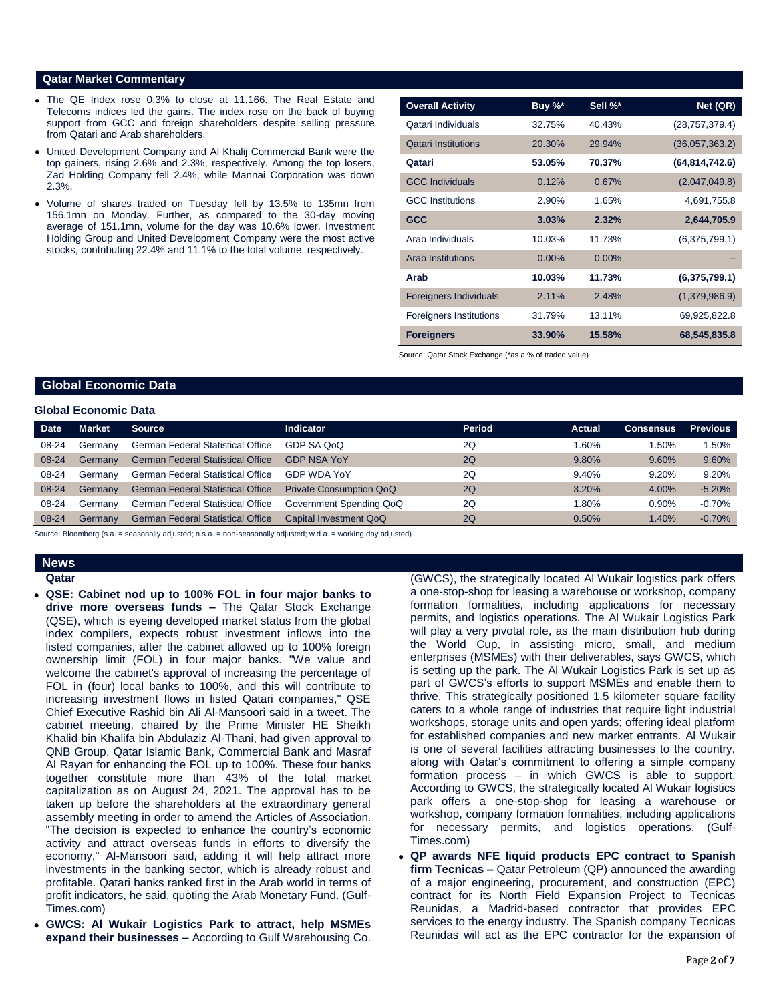## **Qatar Market Commentary**

- The QE Index rose 0.3% to close at 11,166. The Real Estate and Telecoms indices led the gains. The index rose on the back of buying support from GCC and foreign shareholders despite selling pressure from Qatari and Arab shareholders.
- United Development Company and Al Khalij Commercial Bank were the top gainers, rising 2.6% and 2.3%, respectively. Among the top losers, Zad Holding Company fell 2.4%, while Mannai Corporation was down 2.3%.
- Volume of shares traded on Tuesday fell by 13.5% to 135mn from 156.1mn on Monday. Further, as compared to the 30-day moving average of 151.1mn, volume for the day was 10.6% lower. Investment Holding Group and United Development Company were the most active stocks, contributing 22.4% and 11.1% to the total volume, respectively.

| <b>Overall Activity</b>        | Buy %*   | Sell %*  | Net (QR)         |
|--------------------------------|----------|----------|------------------|
| Qatari Individuals             | 32.75%   | 40.43%   | (28, 757, 379.4) |
| <b>Qatari Institutions</b>     | 20.30%   | 29.94%   | (36,057,363.2)   |
| Qatari                         | 53.05%   | 70.37%   | (64, 814, 742.6) |
| <b>GCC Individuals</b>         | 0.12%    | 0.67%    | (2,047,049.8)    |
| <b>GCC</b> Institutions        | 2.90%    | 1.65%    | 4,691,755.8      |
| <b>GCC</b>                     | 3.03%    | 2.32%    | 2,644,705.9      |
| Arab Individuals               | 10.03%   | 11.73%   | (6,375,799.1)    |
| <b>Arab Institutions</b>       | $0.00\%$ | $0.00\%$ |                  |
| Arab                           | 10.03%   | 11.73%   | (6,375,799.1)    |
| <b>Foreigners Individuals</b>  | 2.11%    | 2.48%    | (1,379,986.9)    |
| <b>Foreigners Institutions</b> | 31.79%   | 13.11%   | 69,925,822.8     |
| <b>Foreigners</b>              | 33.90%   | 15.58%   | 68,545,835.8     |

Source: Qatar Stock Exchange (\*as a % of traded value)

# **Global Economic Data**

### **Global Economic Data**

| <b>Date</b> | <b>Market</b> | <b>Source</b>                            | Indicator                      | <b>Period</b> | Actual | <b>Consensus</b> | <b>Previous</b> |
|-------------|---------------|------------------------------------------|--------------------------------|---------------|--------|------------------|-----------------|
| 08-24       | Germany       | German Federal Statistical Office        | GDP SA QoQ                     | 2Q            | 1.60%  | .50%             | $1.50\%$        |
| $08 - 24$   | Germany       | <b>German Federal Statistical Office</b> | <b>GDP NSA YoY</b>             | 2Q            | 9.80%  | 9.60%            | 9.60%           |
| 08-24       | Germany       | <b>German Federal Statistical Office</b> | <b>GDP WDA YoY</b>             | 2Q            | 9.40%  | 9.20%            | 9.20%           |
| 08-24       | Germany       | <b>German Federal Statistical Office</b> | <b>Private Consumption QoQ</b> | 2Q            | 3.20%  | 4.00%            | $-5.20%$        |
| 08-24       | Germany       | <b>German Federal Statistical Office</b> | Government Spending QoQ        | 2Q            | 1.80%  | 0.90%            | $-0.70\%$       |
| 08-24       | Germany       | <b>German Federal Statistical Office</b> | Capital Investment QoQ         | 2Q            | 0.50%  | 1.40%            | $-0.70%$        |

Source: Bloomberg (s.a. = seasonally adjusted; n.s.a. = non-seasonally adjusted; w.d.a. = working day adjusted)

# **News**

**Qatar** 

- **QSE: Cabinet nod up to 100% FOL in four major banks to drive more overseas funds –** The Qatar Stock Exchange (QSE), which is eyeing developed market status from the global index compilers, expects robust investment inflows into the listed companies, after the cabinet allowed up to 100% foreign ownership limit (FOL) in four major banks. "We value and welcome the cabinet's approval of increasing the percentage of FOL in (four) local banks to 100%, and this will contribute to increasing investment flows in listed Qatari companies," QSE Chief Executive Rashid bin Ali Al-Mansoori said in a tweet. The cabinet meeting, chaired by the Prime Minister HE Sheikh Khalid bin Khalifa bin Abdulaziz Al-Thani, had given approval to QNB Group, Qatar Islamic Bank, Commercial Bank and Masraf Al Rayan for enhancing the FOL up to 100%. These four banks together constitute more than 43% of the total market capitalization as on August 24, 2021. The approval has to be taken up before the shareholders at the extraordinary general assembly meeting in order to amend the Articles of Association. "The decision is expected to enhance the country's economic activity and attract overseas funds in efforts to diversify the economy," Al-Mansoori said, adding it will help attract more investments in the banking sector, which is already robust and profitable. Qatari banks ranked first in the Arab world in terms of profit indicators, he said, quoting the Arab Monetary Fund. (Gulf-Times.com)
- **GWCS: Al Wukair Logistics Park to attract, help MSMEs expand their businesses –** According to Gulf Warehousing Co.

(GWCS), the strategically located Al Wukair logistics park offers a one-stop-shop for leasing a warehouse or workshop, company formation formalities, including applications for necessary permits, and logistics operations. The Al Wukair Logistics Park will play a very pivotal role, as the main distribution hub during the World Cup, in assisting micro, small, and medium enterprises (MSMEs) with their deliverables, says GWCS, which is setting up the park. The Al Wukair Logistics Park is set up as part of GWCS's efforts to support MSMEs and enable them to thrive. This strategically positioned 1.5 kilometer square facility caters to a whole range of industries that require light industrial workshops, storage units and open yards; offering ideal platform for established companies and new market entrants. Al Wukair is one of several facilities attracting businesses to the country, along with Qatar's commitment to offering a simple company formation process – in which GWCS is able to support. According to GWCS, the strategically located Al Wukair logistics park offers a one-stop-shop for leasing a warehouse or workshop, company formation formalities, including applications for necessary permits, and logistics operations. (Gulf-Times.com)

 **QP awards NFE liquid products EPC contract to Spanish firm Tecnicas –** Qatar Petroleum (QP) announced the awarding of a major engineering, procurement, and construction (EPC) contract for its North Field Expansion Project to Tecnicas Reunidas, a Madrid-based contractor that provides EPC services to the energy industry. The Spanish company Tecnicas Reunidas will act as the EPC contractor for the expansion of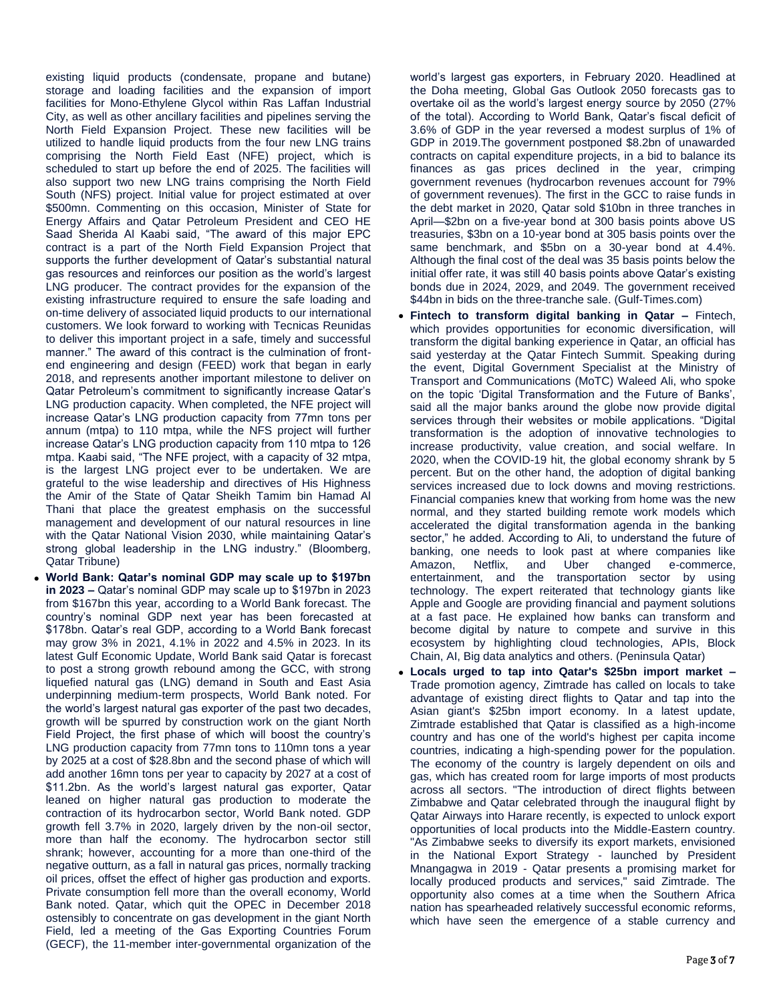existing liquid products (condensate, propane and butane) storage and loading facilities and the expansion of import facilities for Mono-Ethylene Glycol within Ras Laffan Industrial City, as well as other ancillary facilities and pipelines serving the North Field Expansion Project. These new facilities will be utilized to handle liquid products from the four new LNG trains comprising the North Field East (NFE) project, which is scheduled to start up before the end of 2025. The facilities will also support two new LNG trains comprising the North Field South (NFS) project. Initial value for project estimated at over \$500mn. Commenting on this occasion, Minister of State for Energy Affairs and Qatar Petroleum President and CEO HE Saad Sherida Al Kaabi said, "The award of this major EPC contract is a part of the North Field Expansion Project that supports the further development of Qatar's substantial natural gas resources and reinforces our position as the world's largest LNG producer. The contract provides for the expansion of the existing infrastructure required to ensure the safe loading and on-time delivery of associated liquid products to our international customers. We look forward to working with Tecnicas Reunidas to deliver this important project in a safe, timely and successful manner." The award of this contract is the culmination of frontend engineering and design (FEED) work that began in early 2018, and represents another important milestone to deliver on Qatar Petroleum's commitment to significantly increase Qatar's LNG production capacity. When completed, the NFE project will increase Qatar's LNG production capacity from 77mn tons per annum (mtpa) to 110 mtpa, while the NFS project will further increase Qatar's LNG production capacity from 110 mtpa to 126 mtpa. Kaabi said, "The NFE project, with a capacity of 32 mtpa, is the largest LNG project ever to be undertaken. We are grateful to the wise leadership and directives of His Highness the Amir of the State of Qatar Sheikh Tamim bin Hamad Al Thani that place the greatest emphasis on the successful management and development of our natural resources in line with the Qatar National Vision 2030, while maintaining Qatar's strong global leadership in the LNG industry." (Bloomberg, Qatar Tribune)

 **World Bank: Qatar's nominal GDP may scale up to \$197bn in 2023 –** Qatar's nominal GDP may scale up to \$197bn in 2023 from \$167bn this year, according to a World Bank forecast. The country's nominal GDP next year has been forecasted at \$178bn. Qatar's real GDP, according to a World Bank forecast may grow 3% in 2021, 4.1% in 2022 and 4.5% in 2023. In its latest Gulf Economic Update, World Bank said Qatar is forecast to post a strong growth rebound among the GCC, with strong liquefied natural gas (LNG) demand in South and East Asia underpinning medium-term prospects, World Bank noted. For the world's largest natural gas exporter of the past two decades, growth will be spurred by construction work on the giant North Field Project, the first phase of which will boost the country's LNG production capacity from 77mn tons to 110mn tons a year by 2025 at a cost of \$28.8bn and the second phase of which will add another 16mn tons per year to capacity by 2027 at a cost of \$11.2bn. As the world's largest natural gas exporter, Qatar leaned on higher natural gas production to moderate the contraction of its hydrocarbon sector, World Bank noted. GDP growth fell 3.7% in 2020, largely driven by the non-oil sector, more than half the economy. The hydrocarbon sector still shrank; however, accounting for a more than one-third of the negative outturn, as a fall in natural gas prices, normally tracking oil prices, offset the effect of higher gas production and exports. Private consumption fell more than the overall economy, World Bank noted. Qatar, which quit the OPEC in December 2018 ostensibly to concentrate on gas development in the giant North Field, led a meeting of the Gas Exporting Countries Forum (GECF), the 11-member inter-governmental organization of the

world's largest gas exporters, in February 2020. Headlined at the Doha meeting, Global Gas Outlook 2050 forecasts gas to overtake oil as the world's largest energy source by 2050 (27% of the total). According to World Bank, Qatar's fiscal deficit of 3.6% of GDP in the year reversed a modest surplus of 1% of GDP in 2019.The government postponed \$8.2bn of unawarded contracts on capital expenditure projects, in a bid to balance its finances as gas prices declined in the year, crimping government revenues (hydrocarbon revenues account for 79% of government revenues). The first in the GCC to raise funds in the debt market in 2020, Qatar sold \$10bn in three tranches in April—\$2bn on a five-year bond at 300 basis points above US treasuries, \$3bn on a 10-year bond at 305 basis points over the same benchmark, and \$5bn on a 30-year bond at 4.4%. Although the final cost of the deal was 35 basis points below the initial offer rate, it was still 40 basis points above Qatar's existing bonds due in 2024, 2029, and 2049. The government received \$44bn in bids on the three-tranche sale. (Gulf-Times.com)

- **Fintech to transform digital banking in Qatar –** Fintech, which provides opportunities for economic diversification, will transform the digital banking experience in Qatar, an official has said yesterday at the Qatar Fintech Summit. Speaking during the event, Digital Government Specialist at the Ministry of Transport and Communications (MoTC) Waleed Ali, who spoke on the topic 'Digital Transformation and the Future of Banks', said all the major banks around the globe now provide digital services through their websites or mobile applications. "Digital transformation is the adoption of innovative technologies to increase productivity, value creation, and social welfare. In 2020, when the COVID-19 hit, the global economy shrank by 5 percent. But on the other hand, the adoption of digital banking services increased due to lock downs and moving restrictions. Financial companies knew that working from home was the new normal, and they started building remote work models which accelerated the digital transformation agenda in the banking sector," he added. According to Ali, to understand the future of banking, one needs to look past at where companies like Amazon, Netflix, and Uber changed e-commerce, entertainment, and the transportation sector by using technology. The expert reiterated that technology giants like Apple and Google are providing financial and payment solutions at a fast pace. He explained how banks can transform and become digital by nature to compete and survive in this ecosystem by highlighting cloud technologies, APIs, Block Chain, AI, Big data analytics and others. (Peninsula Qatar)
- **Locals urged to tap into Qatar's \$25bn import market –** Trade promotion agency, Zimtrade has called on locals to take advantage of existing direct flights to Qatar and tap into the Asian giant's \$25bn import economy. In a latest update, Zimtrade established that Qatar is classified as a high-income country and has one of the world's highest per capita income countries, indicating a high-spending power for the population. The economy of the country is largely dependent on oils and gas, which has created room for large imports of most products across all sectors. "The introduction of direct flights between Zimbabwe and Qatar celebrated through the inaugural flight by Qatar Airways into Harare recently, is expected to unlock export opportunities of local products into the Middle-Eastern country. "As Zimbabwe seeks to diversify its export markets, envisioned in the National Export Strategy - launched by President Mnangagwa in 2019 - Qatar presents a promising market for locally produced products and services," said Zimtrade. The opportunity also comes at a time when the Southern Africa nation has spearheaded relatively successful economic reforms, which have seen the emergence of a stable currency and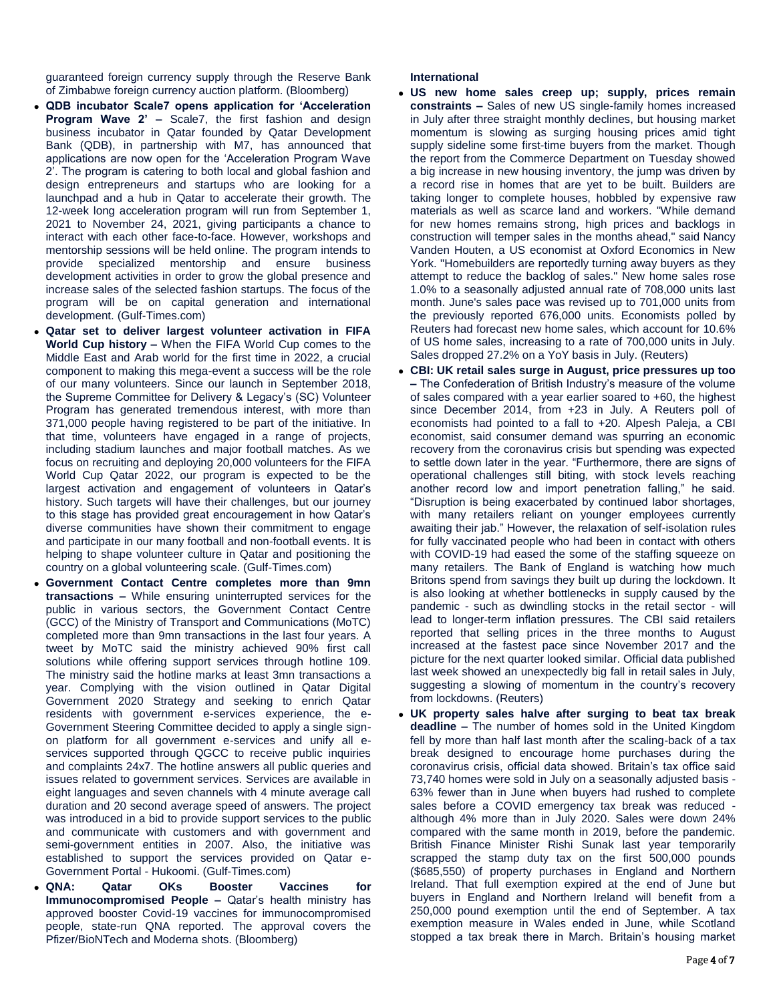guaranteed foreign currency supply through the Reserve Bank of Zimbabwe foreign currency auction platform. (Bloomberg)

- **QDB incubator Scale7 opens application for 'Acceleration Program Wave 2' –** Scale7, the first fashion and design business incubator in Qatar founded by Qatar Development Bank (QDB), in partnership with M7, has announced that applications are now open for the 'Acceleration Program Wave 2'. The program is catering to both local and global fashion and design entrepreneurs and startups who are looking for a launchpad and a hub in Qatar to accelerate their growth. The 12-week long acceleration program will run from September 1, 2021 to November 24, 2021, giving participants a chance to interact with each other face-to-face. However, workshops and mentorship sessions will be held online. The program intends to provide specialized mentorship and ensure business development activities in order to grow the global presence and increase sales of the selected fashion startups. The focus of the program will be on capital generation and international development. (Gulf-Times.com)
- **Qatar set to deliver largest volunteer activation in FIFA World Cup history –** When the FIFA World Cup comes to the Middle East and Arab world for the first time in 2022, a crucial component to making this mega-event a success will be the role of our many volunteers. Since our launch in September 2018, the Supreme Committee for Delivery & Legacy's (SC) Volunteer Program has generated tremendous interest, with more than 371,000 people having registered to be part of the initiative. In that time, volunteers have engaged in a range of projects, including stadium launches and major football matches. As we focus on recruiting and deploying 20,000 volunteers for the FIFA World Cup Qatar 2022, our program is expected to be the largest activation and engagement of volunteers in Qatar's history. Such targets will have their challenges, but our journey to this stage has provided great encouragement in how Qatar's diverse communities have shown their commitment to engage and participate in our many football and non-football events. It is helping to shape volunteer culture in Qatar and positioning the country on a global volunteering scale. (Gulf-Times.com)
- **Government Contact Centre completes more than 9mn transactions –** While ensuring uninterrupted services for the public in various sectors, the Government Contact Centre (GCC) of the Ministry of Transport and Communications (MoTC) completed more than 9mn transactions in the last four years. A tweet by MoTC said the ministry achieved 90% first call solutions while offering support services through hotline 109. The ministry said the hotline marks at least 3mn transactions a year. Complying with the vision outlined in Qatar Digital Government 2020 Strategy and seeking to enrich Qatar residents with government e-services experience, the e-Government Steering Committee decided to apply a single signon platform for all government e-services and unify all eservices supported through QGCC to receive public inquiries and complaints 24x7. The hotline answers all public queries and issues related to government services. Services are available in eight languages and seven channels with 4 minute average call duration and 20 second average speed of answers. The project was introduced in a bid to provide support services to the public and communicate with customers and with government and semi-government entities in 2007. Also, the initiative was established to support the services provided on Qatar e-Government Portal - Hukoomi. (Gulf-Times.com)
- **QNA: Qatar OKs Booster Vaccines for Immunocompromised People –** Qatar's health ministry has approved booster Covid-19 vaccines for immunocompromised people, state-run QNA reported. The approval covers the Pfizer/BioNTech and Moderna shots. (Bloomberg)

# **International**

- **US new home sales creep up; supply, prices remain constraints –** Sales of new US single-family homes increased in July after three straight monthly declines, but housing market momentum is slowing as surging housing prices amid tight supply sideline some first-time buyers from the market. Though the report from the Commerce Department on Tuesday showed a big increase in new housing inventory, the jump was driven by a record rise in homes that are yet to be built. Builders are taking longer to complete houses, hobbled by expensive raw materials as well as scarce land and workers. "While demand for new homes remains strong, high prices and backlogs in construction will temper sales in the months ahead," said Nancy Vanden Houten, a US economist at Oxford Economics in New York. "Homebuilders are reportedly turning away buyers as they attempt to reduce the backlog of sales." New home sales rose 1.0% to a seasonally adjusted annual rate of 708,000 units last month. June's sales pace was revised up to 701,000 units from the previously reported 676,000 units. Economists polled by Reuters had forecast new home sales, which account for 10.6% of US home sales, increasing to a rate of 700,000 units in July. Sales dropped 27.2% on a YoY basis in July. (Reuters)
- **CBI: UK retail sales surge in August, price pressures up too –** The Confederation of British Industry's measure of the volume of sales compared with a year earlier soared to +60, the highest since December 2014, from +23 in July. A Reuters poll of economists had pointed to a fall to +20. Alpesh Paleja, a CBI economist, said consumer demand was spurring an economic recovery from the coronavirus crisis but spending was expected to settle down later in the year. "Furthermore, there are signs of operational challenges still biting, with stock levels reaching another record low and import penetration falling," he said. "Disruption is being exacerbated by continued labor shortages, with many retailers reliant on younger employees currently awaiting their jab." However, the relaxation of self-isolation rules for fully vaccinated people who had been in contact with others with COVID-19 had eased the some of the staffing squeeze on many retailers. The Bank of England is watching how much Britons spend from savings they built up during the lockdown. It is also looking at whether bottlenecks in supply caused by the pandemic - such as dwindling stocks in the retail sector - will lead to longer-term inflation pressures. The CBI said retailers reported that selling prices in the three months to August increased at the fastest pace since November 2017 and the picture for the next quarter looked similar. Official data published last week showed an unexpectedly big fall in retail sales in July, suggesting a slowing of momentum in the country's recovery from lockdowns. (Reuters)
- **UK property sales halve after surging to beat tax break deadline –** The number of homes sold in the United Kingdom fell by more than half last month after the scaling-back of a tax break designed to encourage home purchases during the coronavirus crisis, official data showed. Britain's tax office said 73,740 homes were sold in July on a seasonally adjusted basis - 63% fewer than in June when buyers had rushed to complete sales before a COVID emergency tax break was reduced although 4% more than in July 2020. Sales were down 24% compared with the same month in 2019, before the pandemic. British Finance Minister Rishi Sunak last year temporarily scrapped the stamp duty tax on the first 500,000 pounds (\$685,550) of property purchases in England and Northern Ireland. That full exemption expired at the end of June but buyers in England and Northern Ireland will benefit from a 250,000 pound exemption until the end of September. A tax exemption measure in Wales ended in June, while Scotland stopped a tax break there in March. Britain's housing market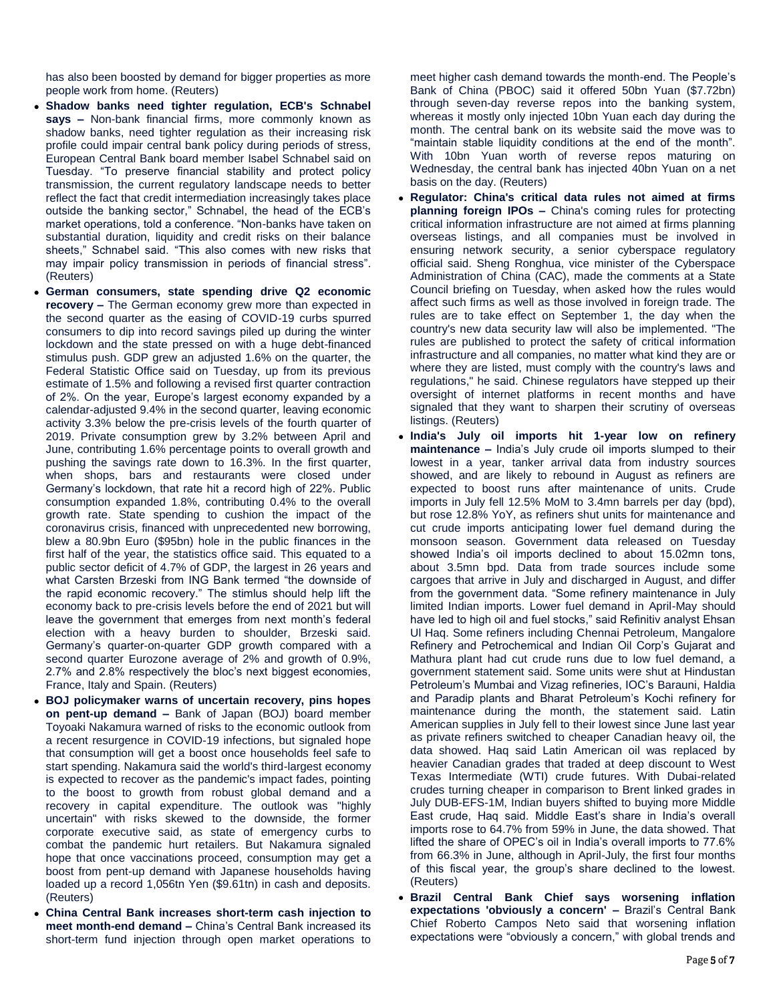has also been boosted by demand for bigger properties as more people work from home. (Reuters)

- **Shadow banks need tighter regulation, ECB's Schnabel says –** Non-bank financial firms, more commonly known as shadow banks, need tighter regulation as their increasing risk profile could impair central bank policy during periods of stress, European Central Bank board member Isabel Schnabel said on Tuesday. "To preserve financial stability and protect policy transmission, the current regulatory landscape needs to better reflect the fact that credit intermediation increasingly takes place outside the banking sector," Schnabel, the head of the ECB's market operations, told a conference. "Non-banks have taken on substantial duration, liquidity and credit risks on their balance sheets," Schnabel said. "This also comes with new risks that may impair policy transmission in periods of financial stress". (Reuters)
- **German consumers, state spending drive Q2 economic recovery –** The German economy grew more than expected in the second quarter as the easing of COVID-19 curbs spurred consumers to dip into record savings piled up during the winter lockdown and the state pressed on with a huge debt-financed stimulus push. GDP grew an adjusted 1.6% on the quarter, the Federal Statistic Office said on Tuesday, up from its previous estimate of 1.5% and following a revised first quarter contraction of 2%. On the year, Europe's largest economy expanded by a calendar-adjusted 9.4% in the second quarter, leaving economic activity 3.3% below the pre-crisis levels of the fourth quarter of 2019. Private consumption grew by 3.2% between April and June, contributing 1.6% percentage points to overall growth and pushing the savings rate down to 16.3%. In the first quarter, when shops, bars and restaurants were closed under Germany's lockdown, that rate hit a record high of 22%. Public consumption expanded 1.8%, contributing 0.4% to the overall growth rate. State spending to cushion the impact of the coronavirus crisis, financed with unprecedented new borrowing, blew a 80.9bn Euro (\$95bn) hole in the public finances in the first half of the year, the statistics office said. This equated to a public sector deficit of 4.7% of GDP, the largest in 26 years and what Carsten Brzeski from ING Bank termed "the downside of the rapid economic recovery." The stimlus should help lift the economy back to pre-crisis levels before the end of 2021 but will leave the government that emerges from next month's federal election with a heavy burden to shoulder, Brzeski said. Germany's quarter-on-quarter GDP growth compared with a second quarter Eurozone average of 2% and growth of 0.9%, 2.7% and 2.8% respectively the bloc's next biggest economies, France, Italy and Spain. (Reuters)
- **BOJ policymaker warns of uncertain recovery, pins hopes on pent-up demand –** Bank of Japan (BOJ) board member Toyoaki Nakamura warned of risks to the economic outlook from a recent resurgence in COVID-19 infections, but signaled hope that consumption will get a boost once households feel safe to start spending. Nakamura said the world's third-largest economy is expected to recover as the pandemic's impact fades, pointing to the boost to growth from robust global demand and a recovery in capital expenditure. The outlook was "highly uncertain" with risks skewed to the downside, the former corporate executive said, as state of emergency curbs to combat the pandemic hurt retailers. But Nakamura signaled hope that once vaccinations proceed, consumption may get a boost from pent-up demand with Japanese households having loaded up a record 1,056tn Yen (\$9.61tn) in cash and deposits. (Reuters)
- **China Central Bank increases short-term cash injection to meet month-end demand –** China's Central Bank increased its short-term fund injection through open market operations to

meet higher cash demand towards the month-end. The People's Bank of China (PBOC) said it offered 50bn Yuan (\$7.72bn) through seven-day reverse repos into the banking system, whereas it mostly only injected 10bn Yuan each day during the month. The central bank on its website said the move was to "maintain stable liquidity conditions at the end of the month". With 10bn Yuan worth of reverse repos maturing on Wednesday, the central bank has injected 40bn Yuan on a net basis on the day. (Reuters)

- **Regulator: China's critical data rules not aimed at firms planning foreign IPOs –** China's coming rules for protecting critical information infrastructure are not aimed at firms planning overseas listings, and all companies must be involved in ensuring network security, a senior cyberspace regulatory official said. Sheng Ronghua, vice minister of the Cyberspace Administration of China (CAC), made the comments at a State Council briefing on Tuesday, when asked how the rules would affect such firms as well as those involved in foreign trade. The rules are to take effect on September 1, the day when the country's new data security law will also be implemented. "The rules are published to protect the safety of critical information infrastructure and all companies, no matter what kind they are or where they are listed, must comply with the country's laws and regulations," he said. Chinese regulators have stepped up their oversight of internet platforms in recent months and have signaled that they want to sharpen their scrutiny of overseas listings. (Reuters)
- **India's July oil imports hit 1-year low on refinery maintenance –** India's July crude oil imports slumped to their lowest in a year, tanker arrival data from industry sources showed, and are likely to rebound in August as refiners are expected to boost runs after maintenance of units. Crude imports in July fell 12.5% MoM to 3.4mn barrels per day (bpd), but rose 12.8% YoY, as refiners shut units for maintenance and cut crude imports anticipating lower fuel demand during the monsoon season. Government data released on Tuesday showed India's oil imports declined to about 15.02mn tons, about 3.5mn bpd. Data from trade sources include some cargoes that arrive in July and discharged in August, and differ from the government data. "Some refinery maintenance in July limited Indian imports. Lower fuel demand in April-May should have led to high oil and fuel stocks," said Refinitiv analyst Ehsan Ul Haq. Some refiners including Chennai Petroleum, Mangalore Refinery and Petrochemical and Indian Oil Corp's Gujarat and Mathura plant had cut crude runs due to low fuel demand, a government statement said. Some units were shut at Hindustan Petroleum's Mumbai and Vizag refineries, IOC's Barauni, Haldia and Paradip plants and Bharat Petroleum's Kochi refinery for maintenance during the month, the statement said. Latin American supplies in July fell to their lowest since June last year as private refiners switched to cheaper Canadian heavy oil, the data showed. Haq said Latin American oil was replaced by heavier Canadian grades that traded at deep discount to West Texas Intermediate (WTI) crude futures. With Dubai-related crudes turning cheaper in comparison to Brent linked grades in July DUB-EFS-1M, Indian buyers shifted to buying more Middle East crude, Haq said. Middle East's share in India's overall imports rose to 64.7% from 59% in June, the data showed. That lifted the share of OPEC's oil in India's overall imports to 77.6% from 66.3% in June, although in April-July, the first four months of this fiscal year, the group's share declined to the lowest. (Reuters)
- **Brazil Central Bank Chief says worsening inflation expectations 'obviously a concern' –** Brazil's Central Bank Chief Roberto Campos Neto said that worsening inflation expectations were "obviously a concern," with global trends and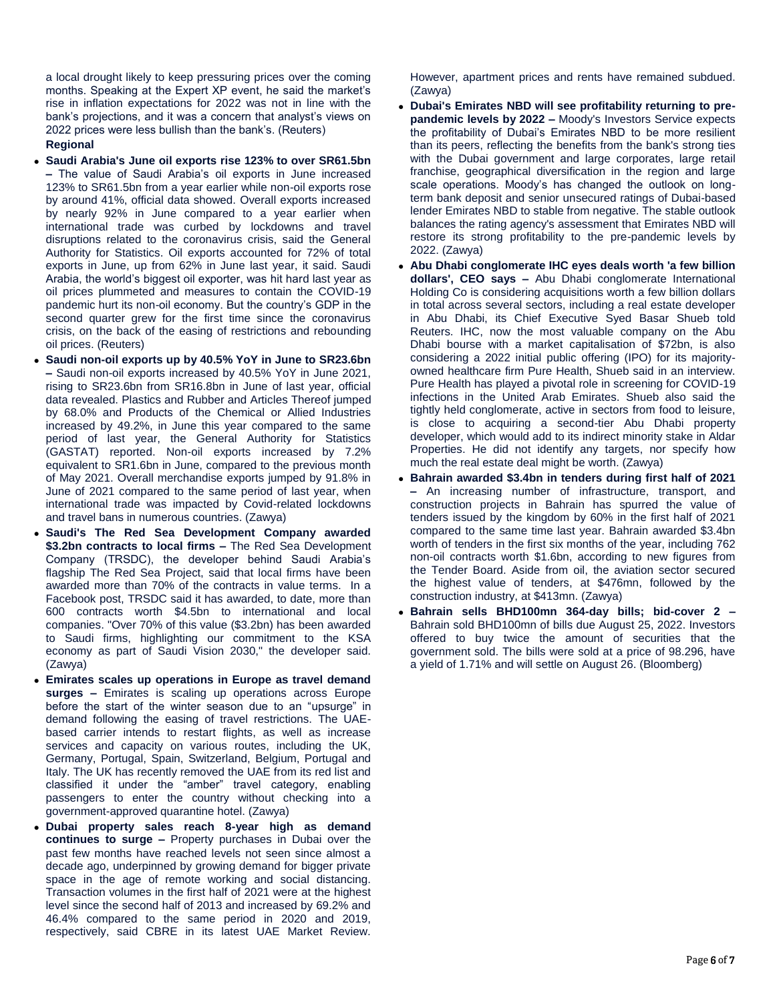a local drought likely to keep pressuring prices over the coming months. Speaking at the Expert XP event, he said the market's rise in inflation expectations for 2022 was not in line with the bank's projections, and it was a concern that analyst's views on 2022 prices were less bullish than the bank's. (Reuters)

# **Regional**

- **Saudi Arabia's June oil exports rise 123% to over SR61.5bn –** The value of Saudi Arabia's oil exports in June increased 123% to SR61.5bn from a year earlier while non-oil exports rose by around 41%, official data showed. Overall exports increased by nearly 92% in June compared to a year earlier when international trade was curbed by lockdowns and travel disruptions related to the coronavirus crisis, said the General Authority for Statistics. Oil exports accounted for 72% of total exports in June, up from 62% in June last year, it said. Saudi Arabia, the world's biggest oil exporter, was hit hard last year as oil prices plummeted and measures to contain the COVID-19 pandemic hurt its non-oil economy. But the country's GDP in the second quarter grew for the first time since the coronavirus crisis, on the back of the easing of restrictions and rebounding oil prices. (Reuters)
- **Saudi non-oil exports up by 40.5% YoY in June to SR23.6bn –** Saudi non-oil exports increased by 40.5% YoY in June 2021, rising to SR23.6bn from SR16.8bn in June of last year, official data revealed. Plastics and Rubber and Articles Thereof jumped by 68.0% and Products of the Chemical or Allied Industries increased by 49.2%, in June this year compared to the same period of last year, the General Authority for Statistics (GASTAT) reported. Non-oil exports increased by 7.2% equivalent to SR1.6bn in June, compared to the previous month of May 2021. Overall merchandise exports jumped by 91.8% in June of 2021 compared to the same period of last year, when international trade was impacted by Covid-related lockdowns and travel bans in numerous countries. (Zawya)
- **Saudi's The Red Sea Development Company awarded \$3.2bn contracts to local firms –** The Red Sea Development Company (TRSDC), the developer behind Saudi Arabia's flagship The Red Sea Project, said that local firms have been awarded more than 70% of the contracts in value terms. In a Facebook post, TRSDC said it has awarded, to date, more than 600 contracts worth \$4.5bn to international and local companies. "Over 70% of this value (\$3.2bn) has been awarded to Saudi firms, highlighting our commitment to the KSA economy as part of Saudi Vision 2030," the developer said. (Zawya)
- **Emirates scales up operations in Europe as travel demand surges –** Emirates is scaling up operations across Europe before the start of the winter season due to an "upsurge" in demand following the easing of travel restrictions. The UAEbased carrier intends to restart flights, as well as increase services and capacity on various routes, including the UK, Germany, Portugal, Spain, Switzerland, Belgium, Portugal and Italy. The UK has recently removed the UAE from its red list and classified it under the "amber" travel category, enabling passengers to enter the country without checking into a government-approved quarantine hotel. (Zawya)
- **Dubai property sales reach 8-year high as demand continues to surge –** Property purchases in Dubai over the past few months have reached levels not seen since almost a decade ago, underpinned by growing demand for bigger private space in the age of remote working and social distancing. Transaction volumes in the first half of 2021 were at the highest level since the second half of 2013 and increased by 69.2% and 46.4% compared to the same period in 2020 and 2019, respectively, said CBRE in its latest UAE Market Review.

However, apartment prices and rents have remained subdued. (Zawya)

- **Dubai's Emirates NBD will see profitability returning to prepandemic levels by 2022 –** Moody's Investors Service expects the profitability of Dubai's Emirates NBD to be more resilient than its peers, reflecting the benefits from the bank's strong ties with the Dubai government and large corporates, large retail franchise, geographical diversification in the region and large scale operations. Moody's has changed the outlook on longterm bank deposit and senior unsecured ratings of Dubai-based lender Emirates NBD to stable from negative. The stable outlook balances the rating agency's assessment that Emirates NBD will restore its strong profitability to the pre-pandemic levels by 2022. (Zawya)
- **Abu Dhabi conglomerate IHC eyes deals worth 'a few billion dollars', CEO says –** Abu Dhabi conglomerate International Holding Co is considering acquisitions worth a few billion dollars in total across several sectors, including a real estate developer in Abu Dhabi, its Chief Executive Syed Basar Shueb told Reuters. IHC, now the most valuable company on the Abu Dhabi bourse with a market capitalisation of \$72bn, is also considering a 2022 initial public offering (IPO) for its majorityowned healthcare firm Pure Health, Shueb said in an interview. Pure Health has played a pivotal role in screening for COVID-19 infections in the United Arab Emirates. Shueb also said the tightly held conglomerate, active in sectors from food to leisure, is close to acquiring a second-tier Abu Dhabi property developer, which would add to its indirect minority stake in Aldar Properties. He did not identify any targets, nor specify how much the real estate deal might be worth. (Zawya)
- **Bahrain awarded \$3.4bn in tenders during first half of 2021 –** An increasing number of infrastructure, transport, and construction projects in Bahrain has spurred the value of tenders issued by the kingdom by 60% in the first half of 2021 compared to the same time last year. Bahrain awarded \$3.4bn worth of tenders in the first six months of the year, including 762 non-oil contracts worth \$1.6bn, according to new figures from the Tender Board. Aside from oil, the aviation sector secured the highest value of tenders, at \$476mn, followed by the construction industry, at \$413mn. (Zawya)
- **Bahrain sells BHD100mn 364-day bills; bid-cover 2 –** Bahrain sold BHD100mn of bills due August 25, 2022. Investors offered to buy twice the amount of securities that the government sold. The bills were sold at a price of 98.296, have a yield of 1.71% and will settle on August 26. (Bloomberg)